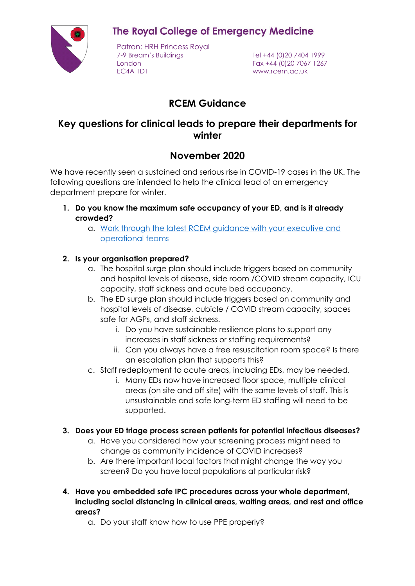**The Royal College of Emergency Medicine** 



Patron: HRH Princess Royal 7-9 Bream's Buildings Tel +44 (0)20 7404 1999 London Fax +44 (0)20 7067 1267 EC4A 1DT www.rcem.ac.uk

# **RCEM Guidance**

## **Key questions for clinical leads to prepare their departments for winter**

## **November 2020**

We have recently seen a sustained and serious rise in COVID-19 cases in the UK. The following questions are intended to help the clinical lead of an emergency department prepare for winter.

- **1. Do you know the maximum safe occupancy of your ED, and is it already crowded?**
	- a. [Work through the latest RCEM guidance with your executive and](https://www.rcem.ac.uk/docs/RCEM%20Guidance/RCEM_BPC_Guideline_COVID_IPC_090620.pdf)  [operational teams](https://www.rcem.ac.uk/docs/RCEM%20Guidance/RCEM_BPC_Guideline_COVID_IPC_090620.pdf)

### **2. Is your organisation prepared?**

- a. The hospital surge plan should include triggers based on community and hospital levels of disease, side room /COVID stream capacity, ICU capacity, staff sickness and acute bed occupancy.
- b. The ED surge plan should include triggers based on community and hospital levels of disease, cubicle / COVID stream capacity, spaces safe for AGPs, and staff sickness.
	- i. Do you have sustainable resilience plans to support any increases in staff sickness or staffing requirements?
	- ii. Can you always have a free resuscitation room space? Is there an escalation plan that supports this?
- c. Staff redeployment to acute areas, including EDs, may be needed.
	- i. Many EDs now have increased floor space, multiple clinical areas (on site and off site) with the same levels of staff. This is unsustainable and safe long-term ED staffing will need to be supported.

### **3. Does your ED triage process screen patients for potential infectious diseases?**

- a. Have you considered how your screening process might need to change as community incidence of COVID increases?
- b. Are there important local factors that might change the way you screen? Do you have local populations at particular risk?
- **4. Have you embedded safe IPC procedures across your whole department, including social distancing in clinical areas, waiting areas, and rest and office areas?**
	- a. Do your staff know how to use PPE properly?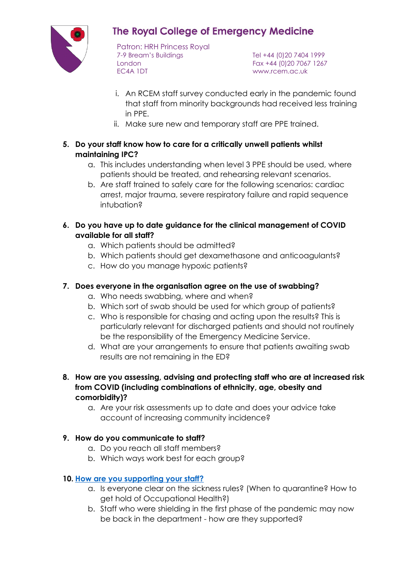

# **The Royal College of Emergency Medicine**

Patron: HRH Princess Royal 7-9 Bream's Buildings Tel +44 (0)20 7404 1999 London Fax +44 (0)20 7067 1267 EC4A 1DT www.rcem.ac.uk

- i. An RCEM staff survey conducted early in the pandemic found that staff from minority backgrounds had received less training in PPE.
- ii. Make sure new and temporary staff are PPE trained.
- **5. Do your staff know how to care for a critically unwell patients whilst maintaining IPC?**
	- a. This includes understanding when level 3 PPE should be used, where patients should be treated, and rehearsing relevant scenarios.
	- b. Are staff trained to safely care for the following scenarios: cardiac arrest, major trauma, severe respiratory failure and rapid sequence intubation?
- **6. Do you have up to date guidance for the clinical management of COVID available for all staff?**
	- a. Which patients should be admitted?
	- b. Which patients should get dexamethasone and anticoagulants?
	- c. How do you manage hypoxic patients?

### **7. Does everyone in the organisation agree on the use of swabbing?**

- a. Who needs swabbing, where and when?
- b. Which sort of swab should be used for which group of patients?
- c. Who is responsible for chasing and acting upon the results? This is particularly relevant for discharged patients and should not routinely be the responsibility of the Emergency Medicine Service.
- d. What are your arrangements to ensure that patients awaiting swab results are not remaining in the ED?
- **8. How are you assessing, advising and protecting staff who are at increased risk from COVID (including combinations of ethnicity, age, obesity and comorbidity)?**
	- a. Are your risk assessments up to date and does your advice take account of increasing community incidence?

#### **9. How do you communicate to staff?**

- a. Do you reach all staff members?
- b. Which ways work best for each group?

#### **10. [How are you supporting your staff?](https://www.rcem.ac.uk/RCEM/Quality-Policy/Clinical_Standards_Guidance/RCEM_Guidance.aspx?WebsiteKey=b3d6bb2a-abba-44ed-b758-467776a958cd&hkey=862bd964-0363-4f7f-bdab-89e4a68c9de4&RCEM_Guidance=4#self)**

- a. Is everyone clear on the sickness rules? (When to quarantine? How to get hold of Occupational Health?)
- b. Staff who were shielding in the first phase of the pandemic may now be back in the department - how are they supported?